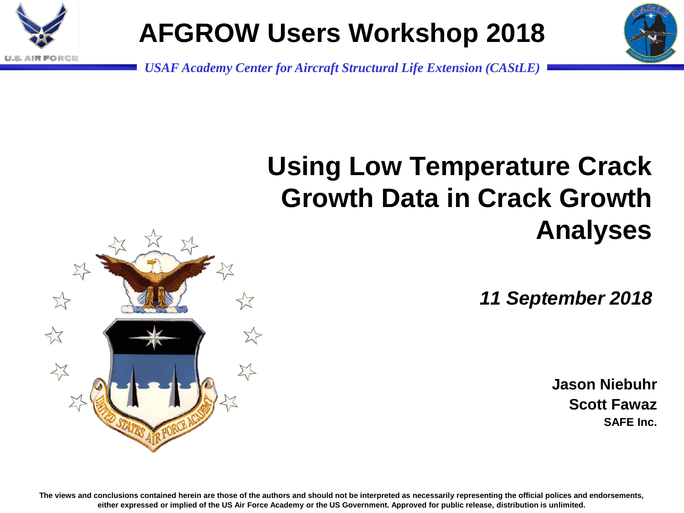

## **AFGROW Users Workshop 2018**



*USAF Academy Center for Aircraft Structural Life Extension (CAStLE)*

## **Using Low Temperature Crack Growth Data in Crack Growth Analyses**

*11 September 2018*

**Jason Niebuhr Scott Fawaz SAFE Inc.**

 $\rightarrow$ 

**The views and conclusions contained herein are those of the authors and should not be interpreted as necessarily representing the official polices and endorsements, either expressed or implied of the US Air Force Academy or the US Government. Approved for public release, distribution is unlimited.**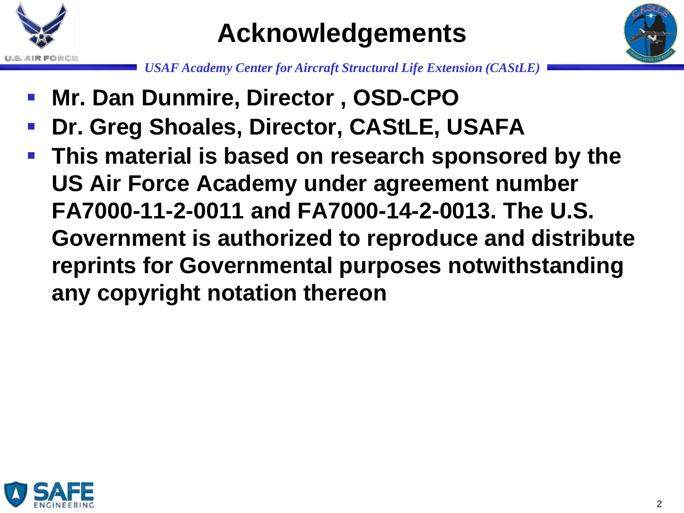

#### **Acknowledgements**



- **Mr. Dan Dunmire, Director , OSD-CPO**
- **Dr. Greg Shoales, Director, CAStLE, USAFA**
- **This material is based on research sponsored by the US Air Force Academy under agreement number FA7000-11-2-0011 and FA7000-14-2-0013. The U.S. Government is authorized to reproduce and distribute reprints for Governmental purposes notwithstanding any copyright notation thereon**

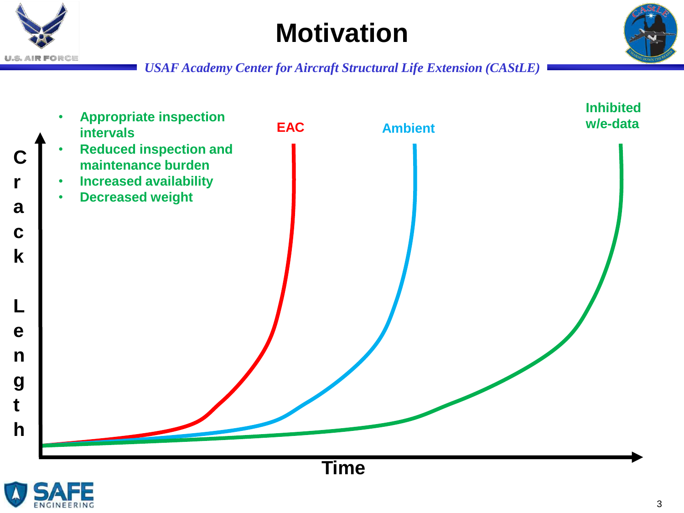

## **Motivation**





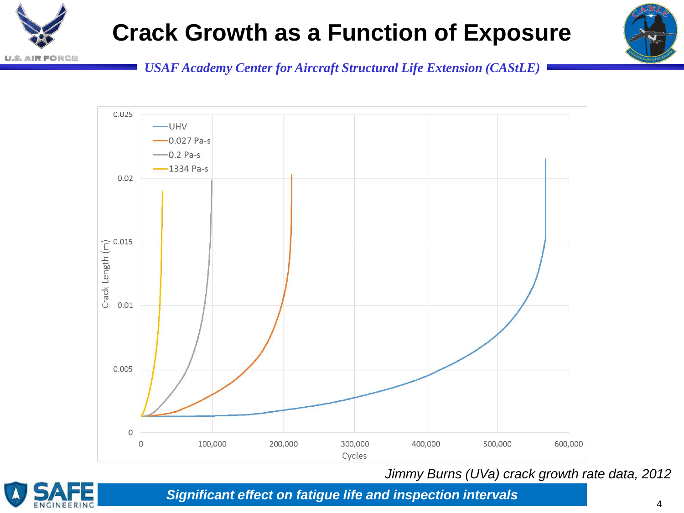

#### **Crack Growth as a Function of Exposure**



*USAF Academy Center for Aircraft Structural Life Extension (CAStLE)*



*Jimmy Burns (UVa) crack growth rate data, 2012*



*Significant effect on fatigue life and inspection intervals*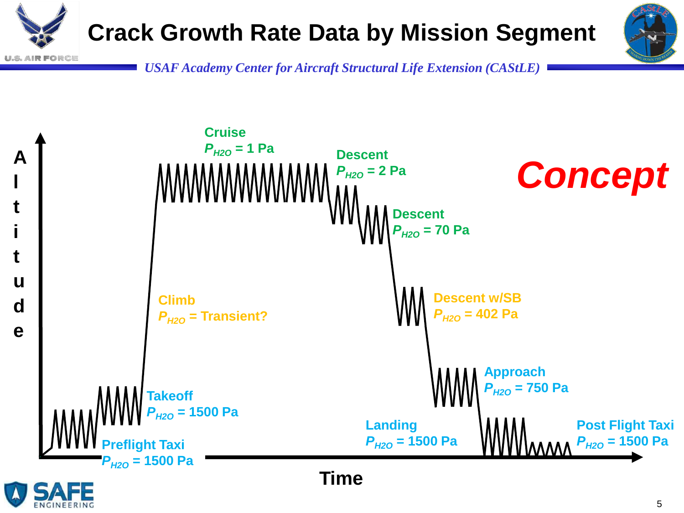



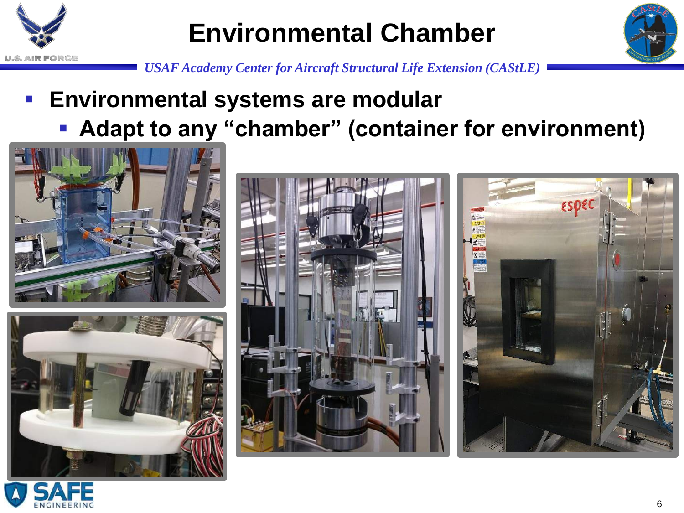

### **Environmental Chamber**



*USAF Academy Center for Aircraft Structural Life Extension (CAStLE)*

#### **Environmental systems are modular**

**Adapt to any "chamber" (container for environment)**





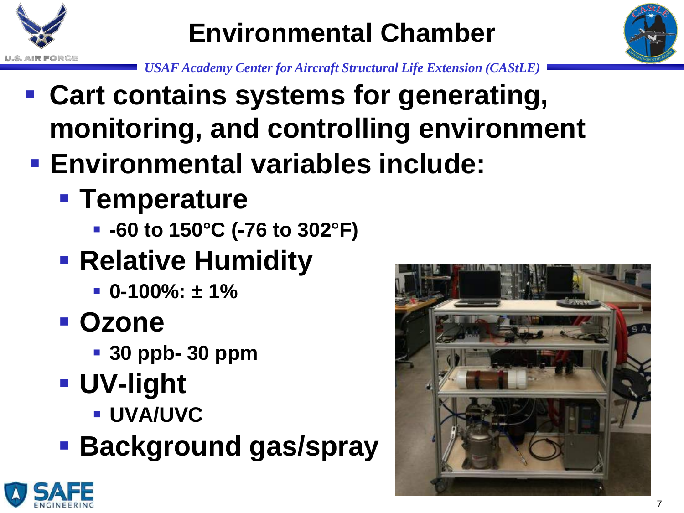

# **Environmental Chamber**



- **Cart contains systems for generating, monitoring, and controlling environment**
- **Environmental variables include:** 
	- **F** Temperature
		- **-60 to 150°C (-76 to 302°F)**
	- **Relative Humidity** 
		- **0-100%: ± 1%**
	- **Ozone**
		- **30 ppb- 30 ppm**
	- **UV-light**
		- **UVA/UVC**
	- **Background gas/spray**



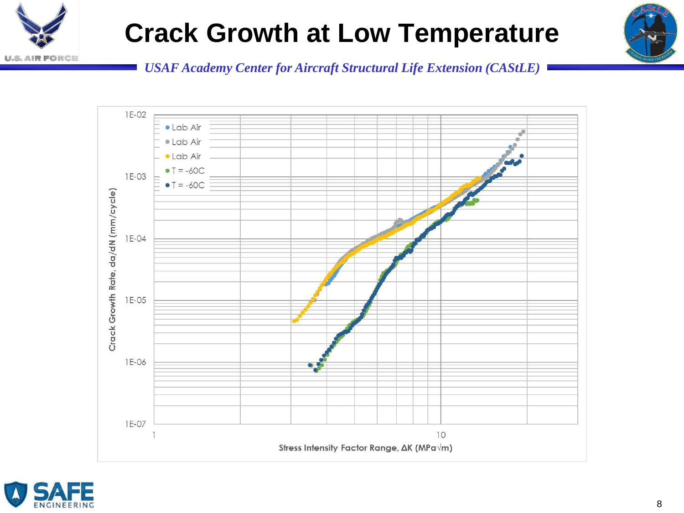

## **Crack Growth at Low Temperature**





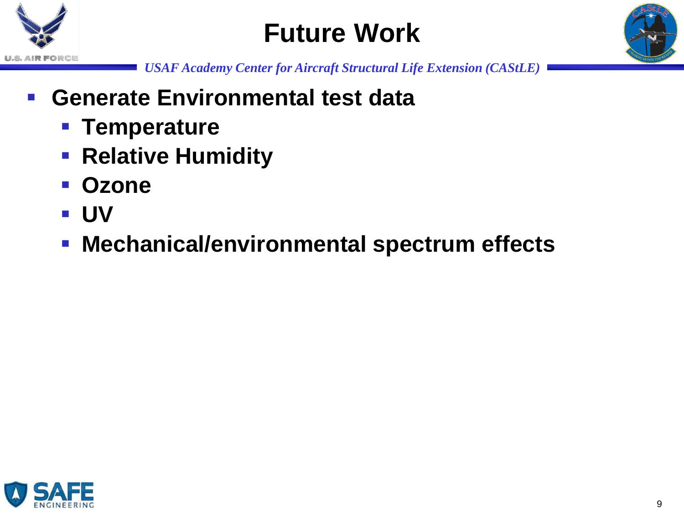

## **Future Work**



- **Generate Environmental test data**
	- **Temperature**
	- **Relative Humidity**
	- **Ozone**
	- **UV**
	- **Mechanical/environmental spectrum effects**

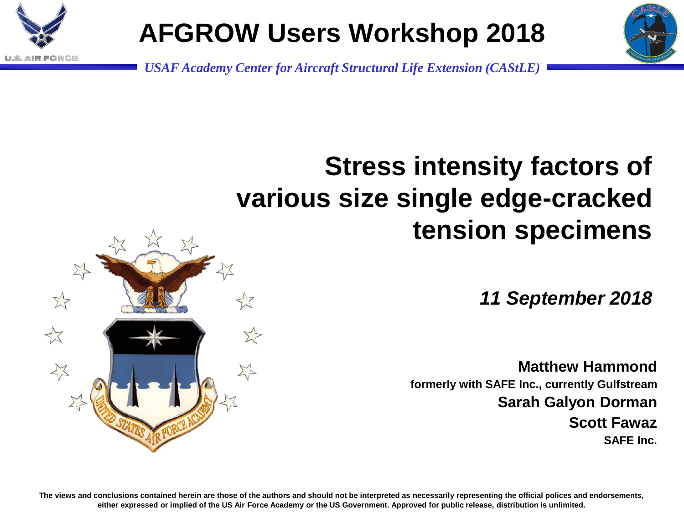

# **AFGROW Users Workshop 2018**

*USAF Academy Center for Aircraft Structural Life Extension (CAStLE)*

# **Stress intensity factors of various size single edge-cracked tension specimens**

*11 September 2018*

**Matthew Hammond formerly with SAFE Inc., currently Gulfstream Sarah Galyon Dorman Scott Fawaz SAFE Inc.**



**The views and conclusions contained herein are those of the authors and should not be interpreted as necessarily representing the official polices and endorsements, either expressed or implied of the US Air Force Academy or the US Government. Approved for public release, distribution is unlimited.**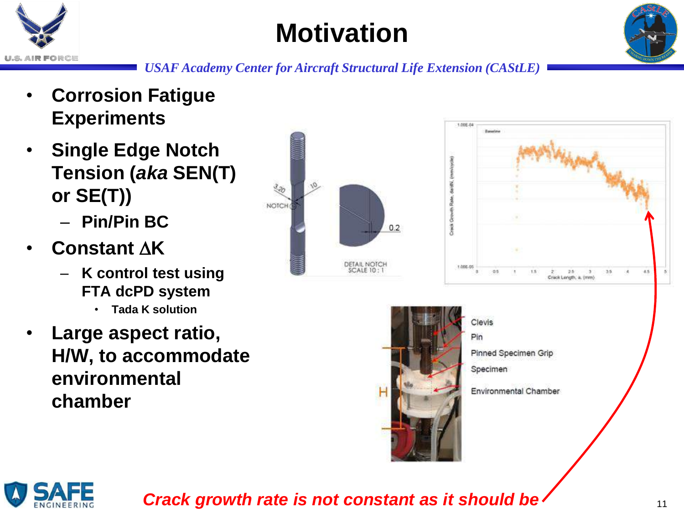

## **Motivation**



*USAF Academy Center for Aircraft Structural Life Extension (CAStLE)*

- **Corrosion Fatigue Experiments**
- **Single Edge Notch Tension (***aka* **SEN(T) or SE(T))**
	- **Pin/Pin BC**
- **Constant K**
	- **K control test using FTA dcPD system**
		- **Tada K solution**
- **Large aspect ratio, H/W, to accommodate environmental chamber**





Clevis Pin Pinned Specimen Grip Specimen Environmental Chamber



*Crack growth rate is not constant as it should be*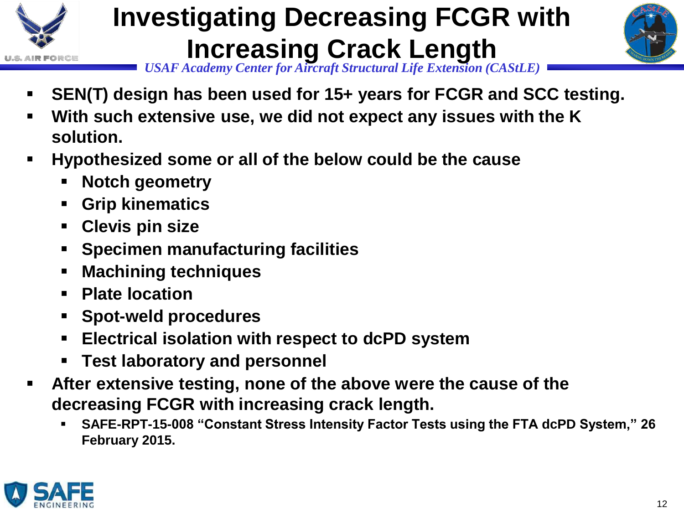

# **Investigating Decreasing FCGR with Increasing Crack Length**



- **SEN(T) design has been used for 15+ years for FCGR and SCC testing.**
- **With such extensive use, we did not expect any issues with the K solution.**
- **Hypothesized some or all of the below could be the cause**
	- **Notch geometry**
	- **Grip kinematics**
	- **Clevis pin size**
	- **Specimen manufacturing facilities**
	- **Machining techniques**
	- **Plate location**
	- **Spot-weld procedures**
	- **Electrical isolation with respect to dcPD system**
	- **Test laboratory and personnel**
- **After extensive testing, none of the above were the cause of the decreasing FCGR with increasing crack length.**
	- **SAFE-RPT-15-008 "Constant Stress Intensity Factor Tests using the FTA dcPD System," 26 February 2015.**

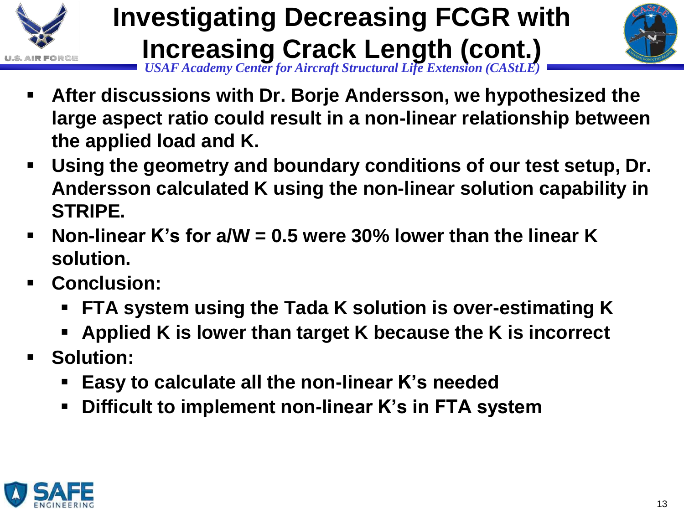

#### *USAF Academy Center for Aircraft Structural Life Extension (CAStLE)* **Investigating Decreasing FCGR with Increasing Crack Length (cont.)**



- **After discussions with Dr. Borje Andersson, we hypothesized the large aspect ratio could result in a non-linear relationship between the applied load and K.**
- **Using the geometry and boundary conditions of our test setup, Dr. Andersson calculated K using the non-linear solution capability in STRIPE.**
- **Non-linear K's for a/W = 0.5 were 30% lower than the linear K solution.**
- **Conclusion:** 
	- **FTA system using the Tada K solution is over-estimating K**
	- **Applied K is lower than target K because the K is incorrect**
- **Solution:**
	- **Easy to calculate all the non-linear K's needed**
	- **Difficult to implement non-linear K's in FTA system**

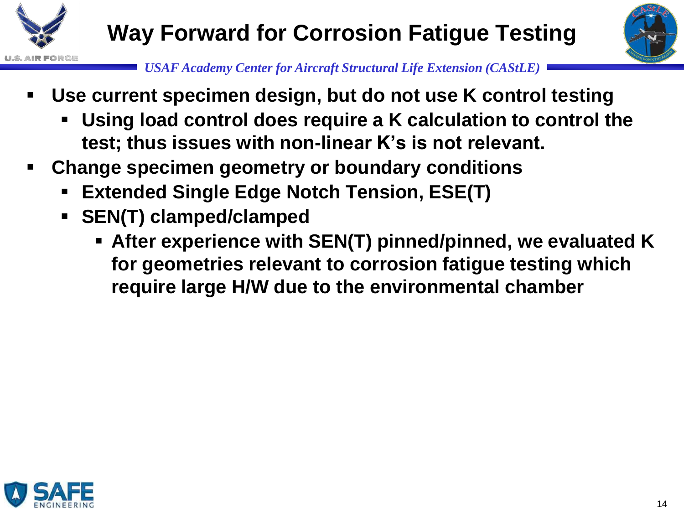



- **Use current specimen design, but do not use K control testing**
	- **Using load control does require a K calculation to control the test; thus issues with non-linear K's is not relevant.**
- **Change specimen geometry or boundary conditions**
	- **Extended Single Edge Notch Tension, ESE(T)**
	- **SEN(T) clamped/clamped**
		- **After experience with SEN(T) pinned/pinned, we evaluated K for geometries relevant to corrosion fatigue testing which require large H/W due to the environmental chamber**

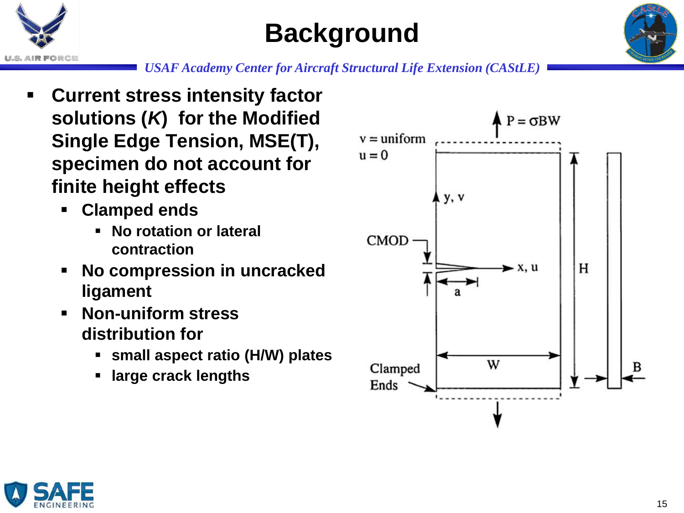

## **Background**



- **Current stress intensity factor solutions (***K***) for the Modified Single Edge Tension, MSE(T), specimen do not account for finite height effects**
	- **Clamped ends**
		- **No rotation or lateral contraction**
	- **No compression in uncracked ligament**
	- **Non-uniform stress distribution for** 
		- **small aspect ratio (H/W) plates**
		- **large crack lengths**



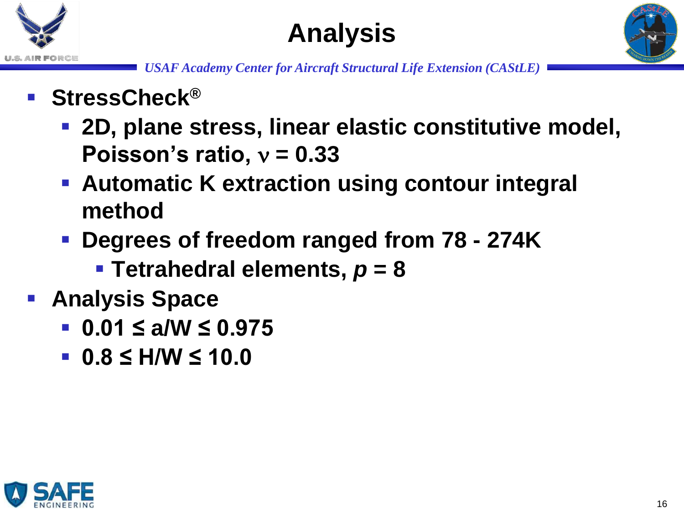





- **StressCheck®**
	- **2D, plane stress, linear elastic constitutive model, Poisson's ratio,**  $v = 0.33$
	- **Automatic K extraction using contour integral method**
	- **Degrees of freedom ranged from 78 - 274K**
		- **Tetrahedral elements,** *p* **= 8**
- **Analysis Space**
	- **0.01 ≤ a/W ≤ 0.975**
	- **0.8 ≤ H/W ≤ 10.0**

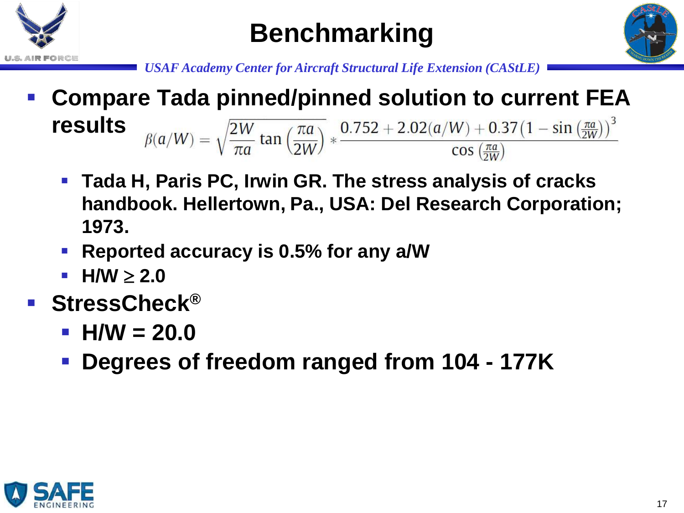





- **Compare Tada pinned/pinned solution to current FEA**   $\beta(a/W) = \sqrt{\frac{2W}{\pi a} \tan \left(\frac{\pi a}{2W}\right)} * \frac{0.752 + 2.02(a/W) + 0.37(1 - \sin \left(\frac{\pi a}{2W}\right))^3}{\cos \left(\frac{\pi a}{2W}\right)}$ **results**
	- **Tada H, Paris PC, Irwin GR. The stress analysis of cracks handbook. Hellertown, Pa., USA: Del Research Corporation; 1973.**
	- **Reported accuracy is 0.5% for any a/W**
	- **H/W**  $\geq 2.0$
- **StressCheck®**
	- **H/W = 20.0**
	- **Degrees of freedom ranged from 104 - 177K**

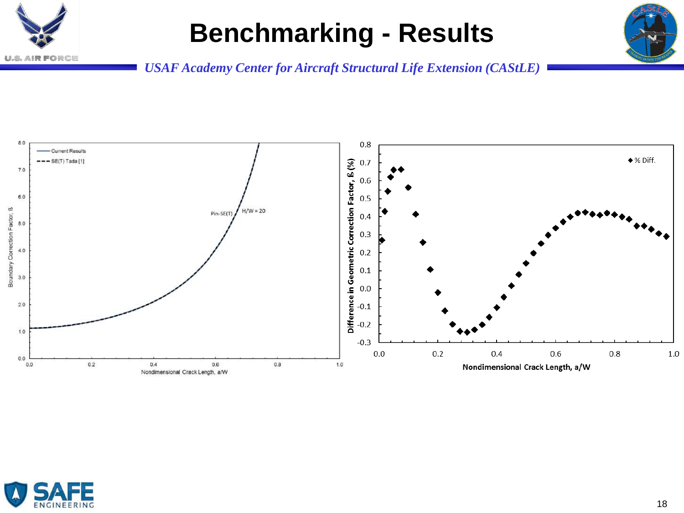

#### **Benchmarking - Results**





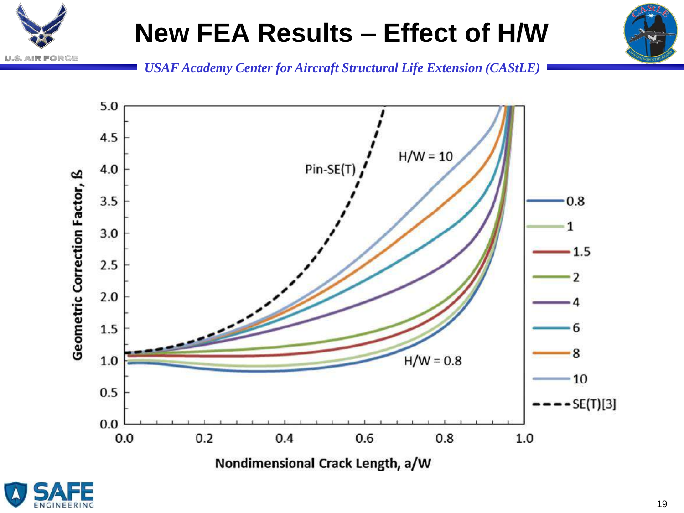







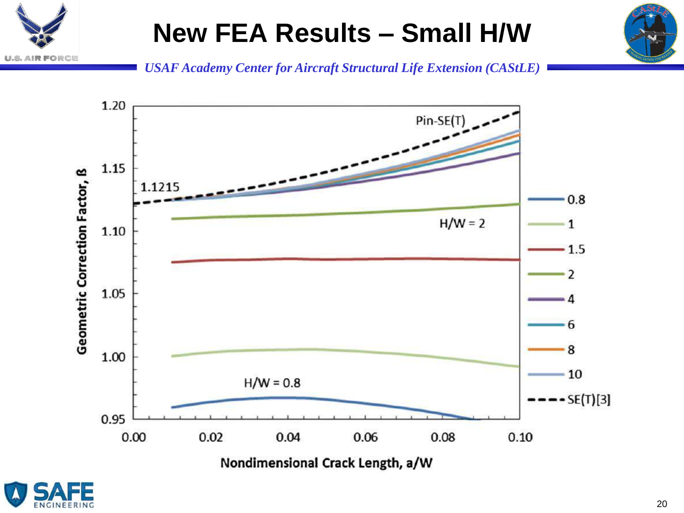







公開於

o RCE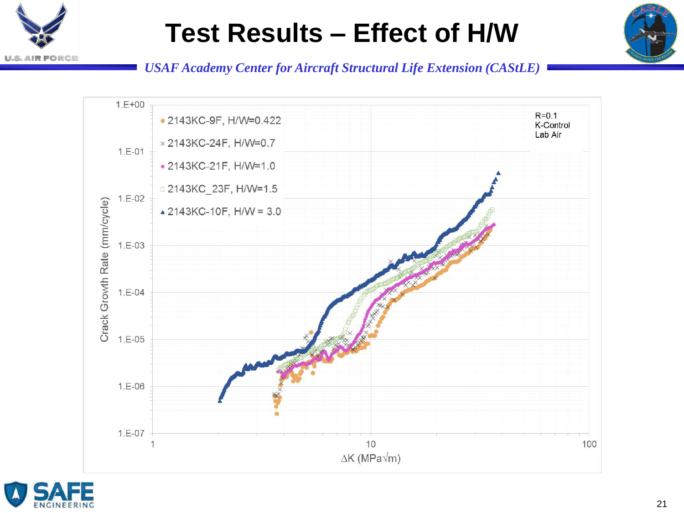

#### **Test Results – Effect of H/W**





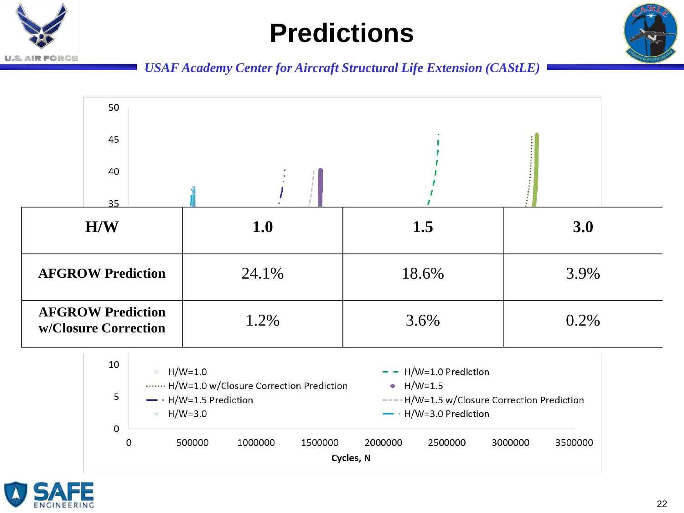## **Predictions**